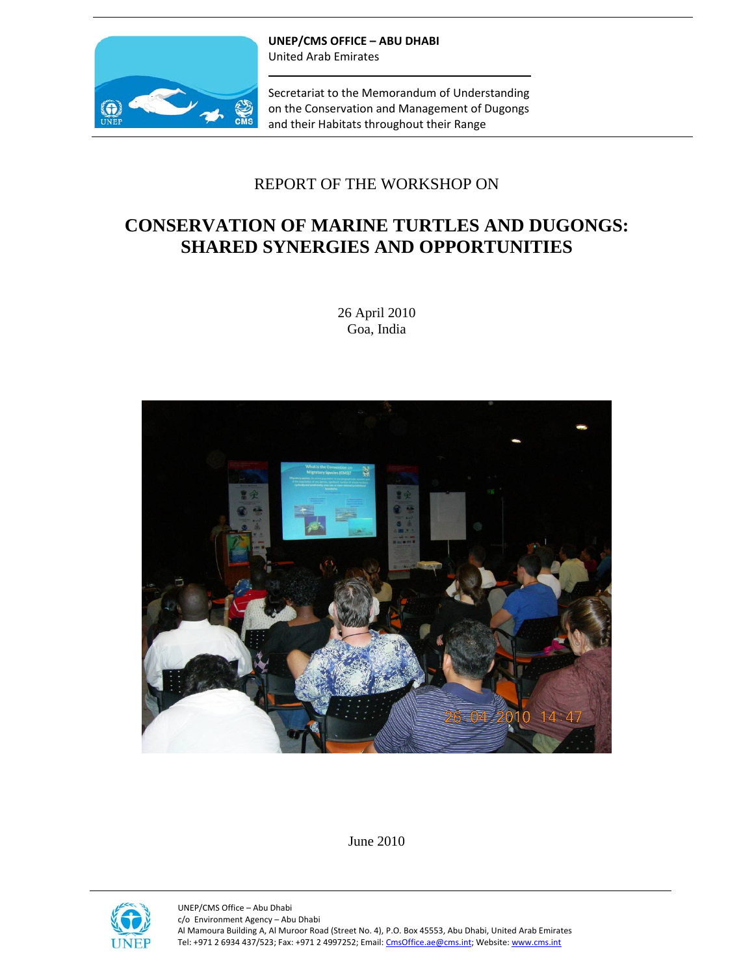

**UNEP/CMS OFFICE – ABU DHABI** United Arab Emirates

Secretariat to the Memorandum of Understanding on the Conservation and Management of Dugongs and their Habitats throughout their Range

## REPORT OF THE WORKSHOP ON

## **CONSERVATION OF MARINE TURTLES AND DUGONGS: SHARED SYNERGIES AND OPPORTUNITIES**

26 April 2010 Goa, India



June 2010

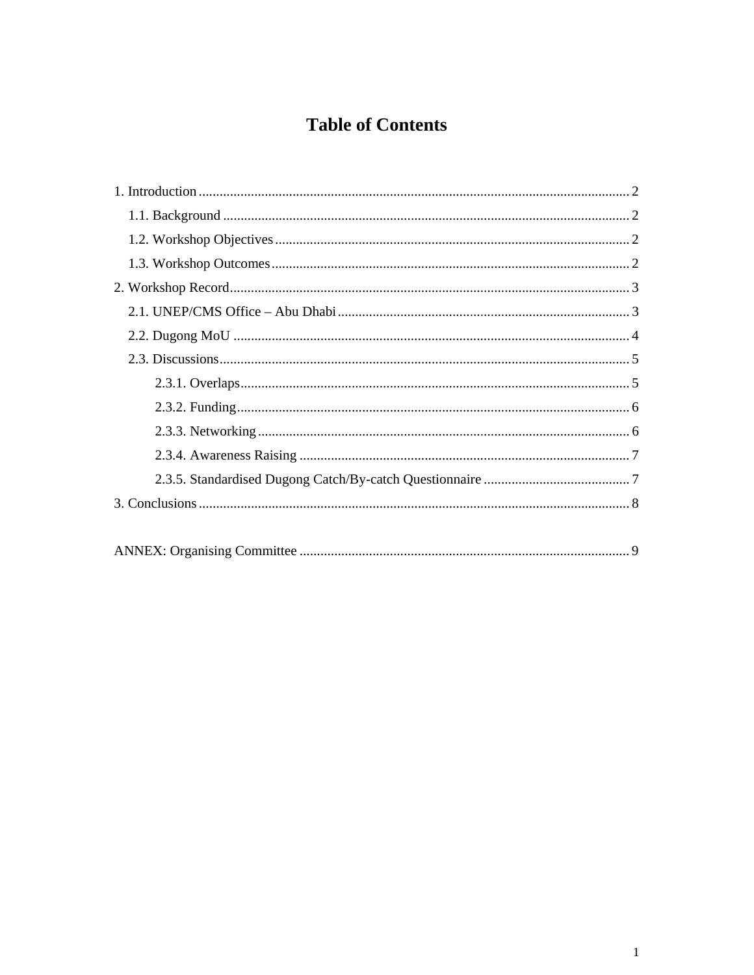# **Table of Contents**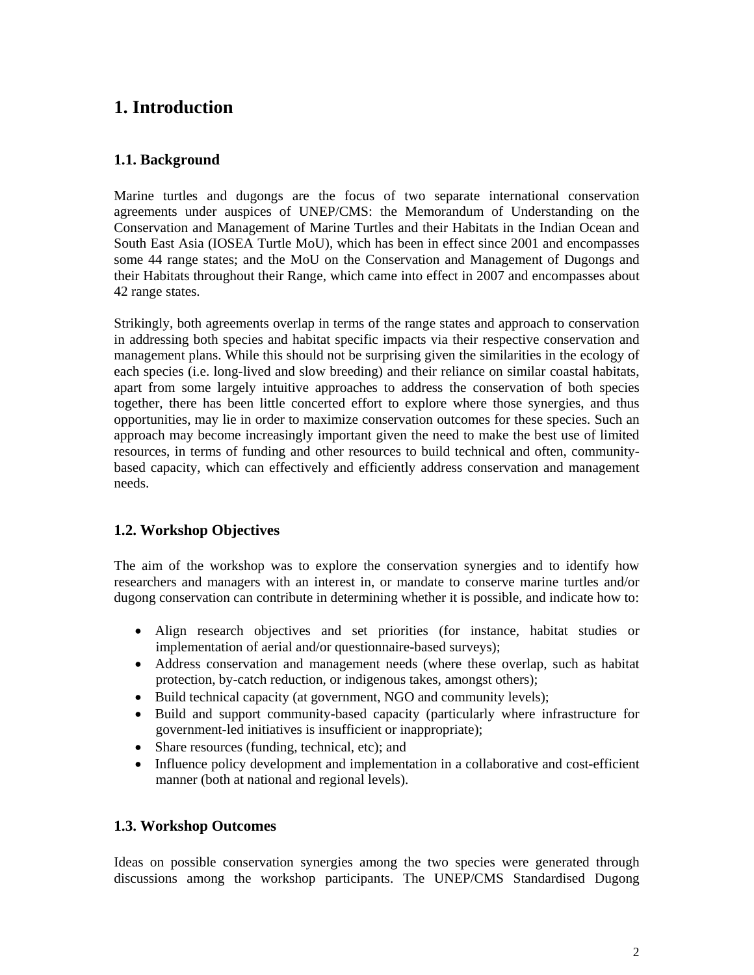## **1. Introduction**

## **1.1. Background**

Marine turtles and dugongs are the focus of two separate international conservation agreements under auspices of UNEP/CMS: the Memorandum of Understanding on the Conservation and Management of Marine Turtles and their Habitats in the Indian Ocean and South East Asia (IOSEA Turtle MoU), which has been in effect since 2001 and encompasses some 44 range states; and the MoU on the Conservation and Management of Dugongs and their Habitats throughout their Range, which came into effect in 2007 and encompasses about 42 range states.

Strikingly, both agreements overlap in terms of the range states and approach to conservation in addressing both species and habitat specific impacts via their respective conservation and management plans. While this should not be surprising given the similarities in the ecology of each species (i.e. long-lived and slow breeding) and their reliance on similar coastal habitats, apart from some largely intuitive approaches to address the conservation of both species together, there has been little concerted effort to explore where those synergies, and thus opportunities, may lie in order to maximize conservation outcomes for these species. Such an approach may become increasingly important given the need to make the best use of limited resources, in terms of funding and other resources to build technical and often, communitybased capacity, which can effectively and efficiently address conservation and management needs.

## **1.2. Workshop Objectives**

The aim of the workshop was to explore the conservation synergies and to identify how researchers and managers with an interest in, or mandate to conserve marine turtles and/or dugong conservation can contribute in determining whether it is possible, and indicate how to:

- Align research objectives and set priorities (for instance, habitat studies or implementation of aerial and/or questionnaire-based surveys);
- Address conservation and management needs (where these overlap, such as habitat protection, by-catch reduction, or indigenous takes, amongst others);
- Build technical capacity (at government, NGO and community levels);
- Build and support community-based capacity (particularly where infrastructure for government-led initiatives is insufficient or inappropriate);
- Share resources (funding, technical, etc); and
- Influence policy development and implementation in a collaborative and cost-efficient manner (both at national and regional levels).

## **1.3. Workshop Outcomes**

Ideas on possible conservation synergies among the two species were generated through discussions among the workshop participants. The UNEP/CMS Standardised Dugong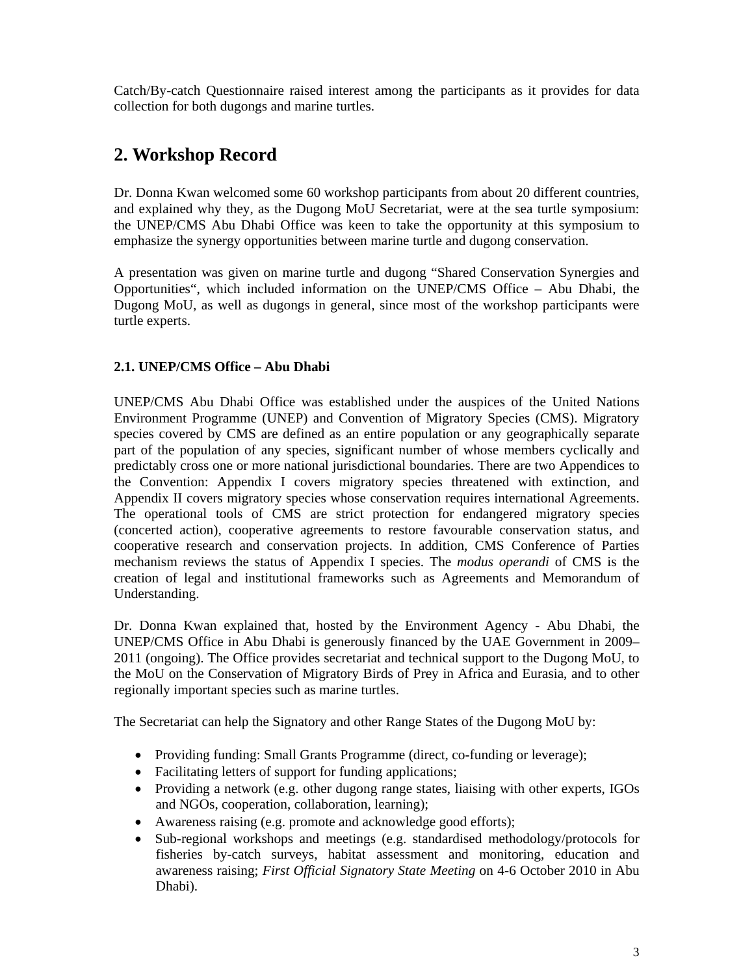Catch/By-catch Questionnaire raised interest among the participants as it provides for data collection for both dugongs and marine turtles.

## **2. Workshop Record**

Dr. Donna Kwan welcomed some 60 workshop participants from about 20 different countries, and explained why they, as the Dugong MoU Secretariat, were at the sea turtle symposium: the UNEP/CMS Abu Dhabi Office was keen to take the opportunity at this symposium to emphasize the synergy opportunities between marine turtle and dugong conservation.

A presentation was given on marine turtle and dugong "Shared Conservation Synergies and Opportunities", which included information on the UNEP/CMS Office – Abu Dhabi, the Dugong MoU, as well as dugongs in general, since most of the workshop participants were turtle experts.

### **2.1. UNEP/CMS Office – Abu Dhabi**

UNEP/CMS Abu Dhabi Office was established under the auspices of the United Nations Environment Programme (UNEP) and Convention of Migratory Species (CMS). Migratory species covered by CMS are defined as an entire population or any geographically separate part of the population of any species, significant number of whose members cyclically and predictably cross one or more national jurisdictional boundaries. There are two Appendices to the Convention: Appendix I covers migratory species threatened with extinction, and Appendix II covers migratory species whose conservation requires international Agreements. The operational tools of CMS are strict protection for endangered migratory species (concerted action), cooperative agreements to restore favourable conservation status, and cooperative research and conservation projects. In addition, CMS Conference of Parties mechanism reviews the status of Appendix I species. The *modus operandi* of CMS is the creation of legal and institutional frameworks such as Agreements and Memorandum of Understanding.

Dr. Donna Kwan explained that, hosted by the Environment Agency - Abu Dhabi, the UNEP/CMS Office in Abu Dhabi is generously financed by the UAE Government in 2009– 2011 (ongoing). The Office provides secretariat and technical support to the Dugong MoU, to the MoU on the Conservation of Migratory Birds of Prey in Africa and Eurasia, and to other regionally important species such as marine turtles.

The Secretariat can help the Signatory and other Range States of the Dugong MoU by:

- Providing funding: Small Grants Programme (direct, co-funding or leverage);
- Facilitating letters of support for funding applications;
- Providing a network (e.g. other dugong range states, liaising with other experts, IGOs and NGOs, cooperation, collaboration, learning);
- Awareness raising (e.g. promote and acknowledge good efforts);
- Sub-regional workshops and meetings (e.g. standardised methodology/protocols for fisheries by-catch surveys, habitat assessment and monitoring, education and awareness raising; *First Official Signatory State Meeting* on 4-6 October 2010 in Abu Dhabi).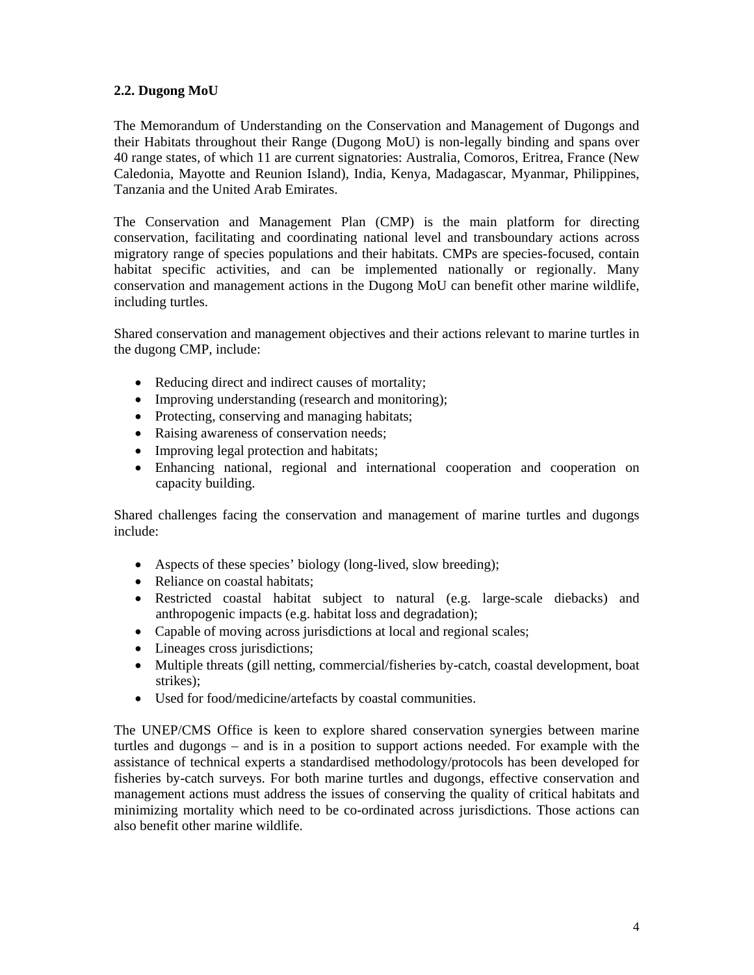#### **2.2. Dugong MoU**

The Memorandum of Understanding on the Conservation and Management of Dugongs and their Habitats throughout their Range (Dugong MoU) is non-legally binding and spans over 40 range states, of which 11 are current signatories: Australia, Comoros, Eritrea, France (New Caledonia, Mayotte and Reunion Island), India, Kenya, Madagascar, Myanmar, Philippines, Tanzania and the United Arab Emirates.

The Conservation and Management Plan (CMP) is the main platform for directing conservation, facilitating and coordinating national level and transboundary actions across migratory range of species populations and their habitats. CMPs are species-focused, contain habitat specific activities, and can be implemented nationally or regionally. Many conservation and management actions in the Dugong MoU can benefit other marine wildlife, including turtles.

Shared conservation and management objectives and their actions relevant to marine turtles in the dugong CMP, include:

- Reducing direct and indirect causes of mortality;
- Improving understanding (research and monitoring);
- Protecting, conserving and managing habitats;
- Raising awareness of conservation needs;
- Improving legal protection and habitats;
- Enhancing national, regional and international cooperation and cooperation on capacity building.

Shared challenges facing the conservation and management of marine turtles and dugongs include:

- Aspects of these species' biology (long-lived, slow breeding);
- Reliance on coastal habitats;
- Restricted coastal habitat subject to natural (e.g. large-scale diebacks) and anthropogenic impacts (e.g. habitat loss and degradation);
- Capable of moving across jurisdictions at local and regional scales;
- Lineages cross jurisdictions;
- Multiple threats (gill netting, commercial/fisheries by-catch, coastal development, boat strikes);
- Used for food/medicine/artefacts by coastal communities.

The UNEP/CMS Office is keen to explore shared conservation synergies between marine turtles and dugongs – and is in a position to support actions needed. For example with the assistance of technical experts a standardised methodology/protocols has been developed for fisheries by-catch surveys. For both marine turtles and dugongs, effective conservation and management actions must address the issues of conserving the quality of critical habitats and minimizing mortality which need to be co-ordinated across jurisdictions. Those actions can also benefit other marine wildlife.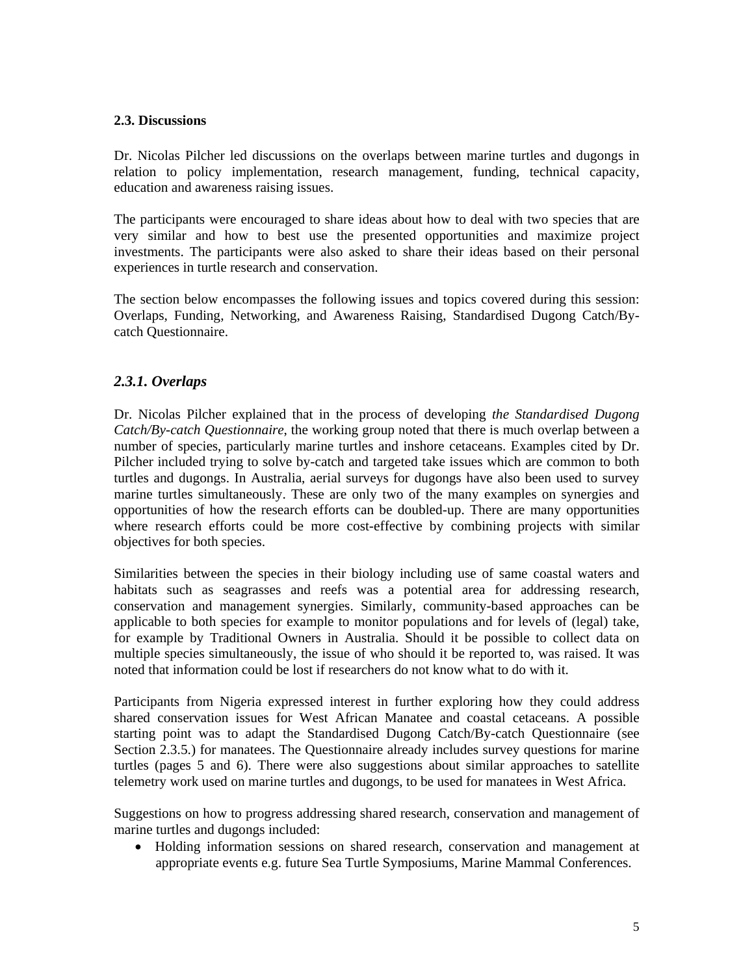#### **2.3. Discussions**

Dr. Nicolas Pilcher led discussions on the overlaps between marine turtles and dugongs in relation to policy implementation, research management, funding, technical capacity, education and awareness raising issues.

The participants were encouraged to share ideas about how to deal with two species that are very similar and how to best use the presented opportunities and maximize project investments. The participants were also asked to share their ideas based on their personal experiences in turtle research and conservation.

The section below encompasses the following issues and topics covered during this session: Overlaps, Funding, Networking, and Awareness Raising, Standardised Dugong Catch/Bycatch Questionnaire.

### *2.3.1. Overlaps*

Dr. Nicolas Pilcher explained that in the process of developing *the Standardised Dugong Catch/By-catch Questionnaire*, the working group noted that there is much overlap between a number of species, particularly marine turtles and inshore cetaceans. Examples cited by Dr. Pilcher included trying to solve by-catch and targeted take issues which are common to both turtles and dugongs. In Australia, aerial surveys for dugongs have also been used to survey marine turtles simultaneously. These are only two of the many examples on synergies and opportunities of how the research efforts can be doubled-up. There are many opportunities where research efforts could be more cost-effective by combining projects with similar objectives for both species.

Similarities between the species in their biology including use of same coastal waters and habitats such as seagrasses and reefs was a potential area for addressing research, conservation and management synergies. Similarly, community-based approaches can be applicable to both species for example to monitor populations and for levels of (legal) take, for example by Traditional Owners in Australia. Should it be possible to collect data on multiple species simultaneously, the issue of who should it be reported to, was raised. It was noted that information could be lost if researchers do not know what to do with it.

Participants from Nigeria expressed interest in further exploring how they could address shared conservation issues for West African Manatee and coastal cetaceans. A possible starting point was to adapt the Standardised Dugong Catch/By-catch Questionnaire (see Section 2.3.5.) for manatees. The Questionnaire already includes survey questions for marine turtles (pages 5 and 6). There were also suggestions about similar approaches to satellite telemetry work used on marine turtles and dugongs, to be used for manatees in West Africa.

Suggestions on how to progress addressing shared research, conservation and management of marine turtles and dugongs included:

• Holding information sessions on shared research, conservation and management at appropriate events e.g. future Sea Turtle Symposiums, Marine Mammal Conferences.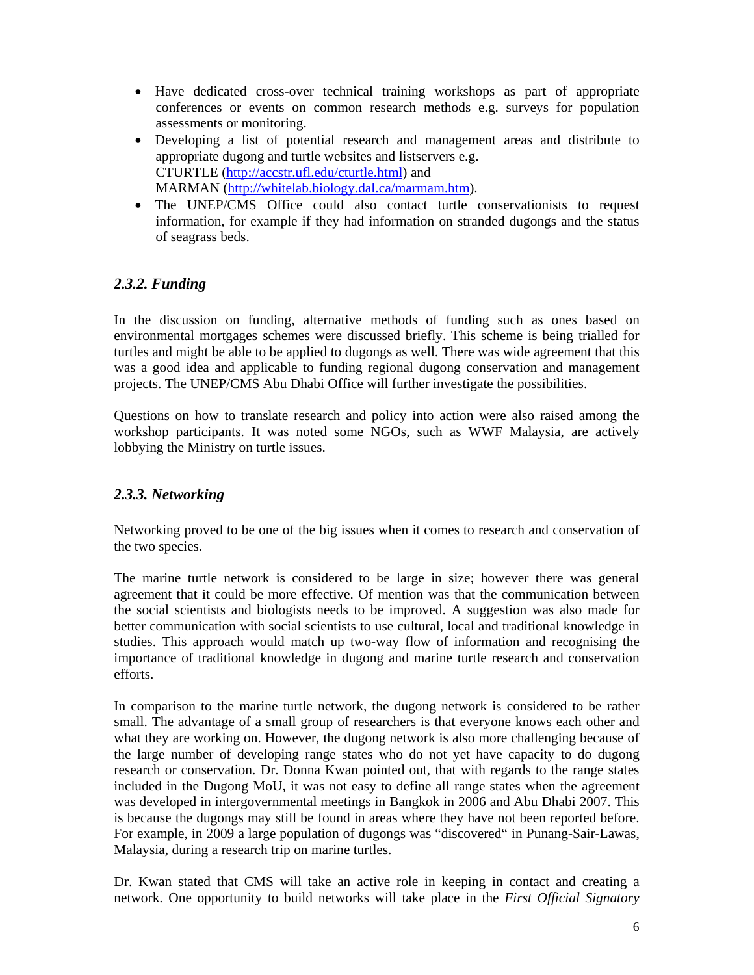- Have dedicated cross-over technical training workshops as part of appropriate conferences or events on common research methods e.g. surveys for population assessments or monitoring.
- Developing a list of potential research and management areas and distribute to appropriate dugong and turtle websites and listservers e.g. CTURTLE (http://accstr.ufl.edu/cturtle.html) and MARMAN (http://whitelab.biology.dal.ca/marmam.htm).
- The UNEP/CMS Office could also contact turtle conservationists to request information, for example if they had information on stranded dugongs and the status of seagrass beds.

## *2.3.2. Funding*

In the discussion on funding, alternative methods of funding such as ones based on environmental mortgages schemes were discussed briefly. This scheme is being trialled for turtles and might be able to be applied to dugongs as well. There was wide agreement that this was a good idea and applicable to funding regional dugong conservation and management projects. The UNEP/CMS Abu Dhabi Office will further investigate the possibilities.

Questions on how to translate research and policy into action were also raised among the workshop participants. It was noted some NGOs, such as WWF Malaysia, are actively lobbying the Ministry on turtle issues.

## *2.3.3. Networking*

Networking proved to be one of the big issues when it comes to research and conservation of the two species.

The marine turtle network is considered to be large in size; however there was general agreement that it could be more effective. Of mention was that the communication between the social scientists and biologists needs to be improved. A suggestion was also made for better communication with social scientists to use cultural, local and traditional knowledge in studies. This approach would match up two-way flow of information and recognising the importance of traditional knowledge in dugong and marine turtle research and conservation efforts.

In comparison to the marine turtle network, the dugong network is considered to be rather small. The advantage of a small group of researchers is that everyone knows each other and what they are working on. However, the dugong network is also more challenging because of the large number of developing range states who do not yet have capacity to do dugong research or conservation. Dr. Donna Kwan pointed out, that with regards to the range states included in the Dugong MoU, it was not easy to define all range states when the agreement was developed in intergovernmental meetings in Bangkok in 2006 and Abu Dhabi 2007. This is because the dugongs may still be found in areas where they have not been reported before. For example, in 2009 a large population of dugongs was "discovered" in Punang-Sair-Lawas, Malaysia, during a research trip on marine turtles.

Dr. Kwan stated that CMS will take an active role in keeping in contact and creating a network. One opportunity to build networks will take place in the *First Official Signatory*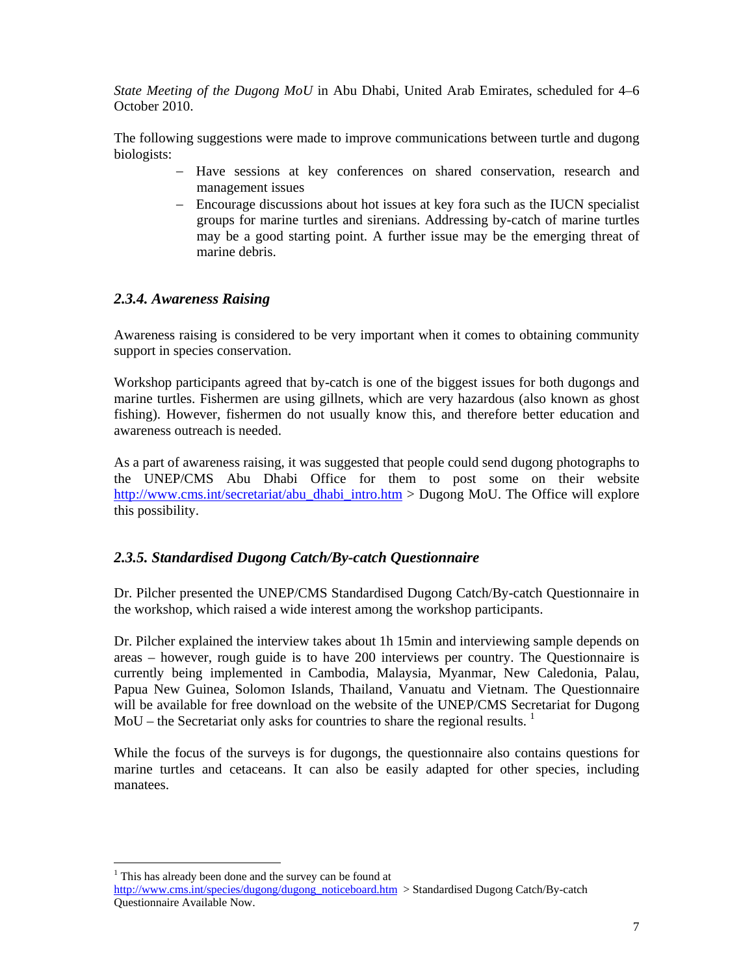*State Meeting of the Dugong MoU* in Abu Dhabi, United Arab Emirates, scheduled for 4–6 October 2010.

The following suggestions were made to improve communications between turtle and dugong biologists:

- − Have sessions at key conferences on shared conservation, research and management issues
- − Encourage discussions about hot issues at key fora such as the IUCN specialist groups for marine turtles and sirenians. Addressing by-catch of marine turtles may be a good starting point. A further issue may be the emerging threat of marine debris.

### *2.3.4. Awareness Raising*

Awareness raising is considered to be very important when it comes to obtaining community support in species conservation.

Workshop participants agreed that by-catch is one of the biggest issues for both dugongs and marine turtles. Fishermen are using gillnets, which are very hazardous (also known as ghost fishing). However, fishermen do not usually know this, and therefore better education and awareness outreach is needed.

As a part of awareness raising, it was suggested that people could send dugong photographs to the UNEP/CMS Abu Dhabi Office for them to post some on their website http://www.cms.int/secretariat/abu\_dhabi\_intro.htm > Dugong MoU. The Office will explore this possibility.

#### *2.3.5. Standardised Dugong Catch/By-catch Questionnaire*

Dr. Pilcher presented the UNEP/CMS Standardised Dugong Catch/By-catch Questionnaire in the workshop, which raised a wide interest among the workshop participants.

Dr. Pilcher explained the interview takes about 1h 15min and interviewing sample depends on areas – however, rough guide is to have 200 interviews per country. The Questionnaire is currently being implemented in Cambodia, Malaysia, Myanmar, New Caledonia, Palau, Papua New Guinea, Solomon Islands, Thailand, Vanuatu and Vietnam. The Questionnaire will be available for free download on the website of the UNEP/CMS Secretariat for Dugong  $M_0U$  – the Secretariat only asks for countries to share the regional results.<sup>1</sup>

While the focus of the surveys is for dugongs, the questionnaire also contains questions for marine turtles and cetaceans. It can also be easily adapted for other species, including manatees.

l

<sup>&</sup>lt;sup>1</sup> This has already been done and the survey can be found at

http://www.cms.int/species/dugong/dugong\_noticeboard.htm > Standardised Dugong Catch/By-catch Questionnaire Available Now.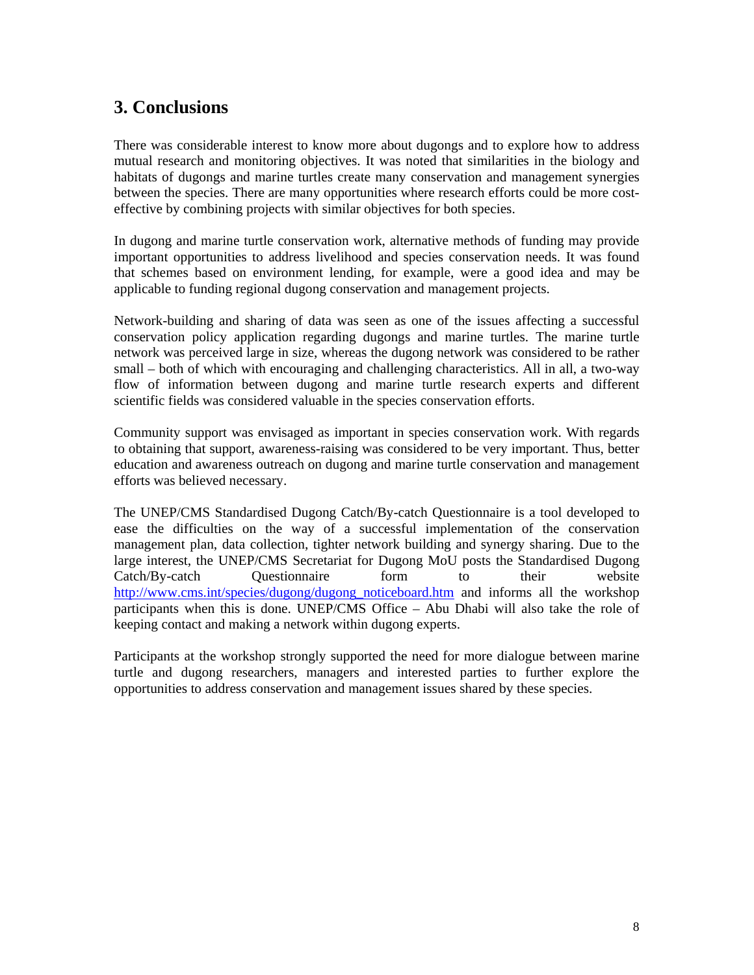## **3. Conclusions**

There was considerable interest to know more about dugongs and to explore how to address mutual research and monitoring objectives. It was noted that similarities in the biology and habitats of dugongs and marine turtles create many conservation and management synergies between the species. There are many opportunities where research efforts could be more costeffective by combining projects with similar objectives for both species.

In dugong and marine turtle conservation work, alternative methods of funding may provide important opportunities to address livelihood and species conservation needs. It was found that schemes based on environment lending, for example, were a good idea and may be applicable to funding regional dugong conservation and management projects.

Network-building and sharing of data was seen as one of the issues affecting a successful conservation policy application regarding dugongs and marine turtles. The marine turtle network was perceived large in size, whereas the dugong network was considered to be rather small – both of which with encouraging and challenging characteristics. All in all, a two-way flow of information between dugong and marine turtle research experts and different scientific fields was considered valuable in the species conservation efforts.

Community support was envisaged as important in species conservation work. With regards to obtaining that support, awareness-raising was considered to be very important. Thus, better education and awareness outreach on dugong and marine turtle conservation and management efforts was believed necessary.

The UNEP/CMS Standardised Dugong Catch/By-catch Questionnaire is a tool developed to ease the difficulties on the way of a successful implementation of the conservation management plan, data collection, tighter network building and synergy sharing. Due to the large interest, the UNEP/CMS Secretariat for Dugong MoU posts the Standardised Dugong Catch/By-catch Questionnaire form to their website http://www.cms.int/species/dugong/dugong\_noticeboard.htm and informs all the workshop participants when this is done. UNEP/CMS Office – Abu Dhabi will also take the role of keeping contact and making a network within dugong experts.

Participants at the workshop strongly supported the need for more dialogue between marine turtle and dugong researchers, managers and interested parties to further explore the opportunities to address conservation and management issues shared by these species.